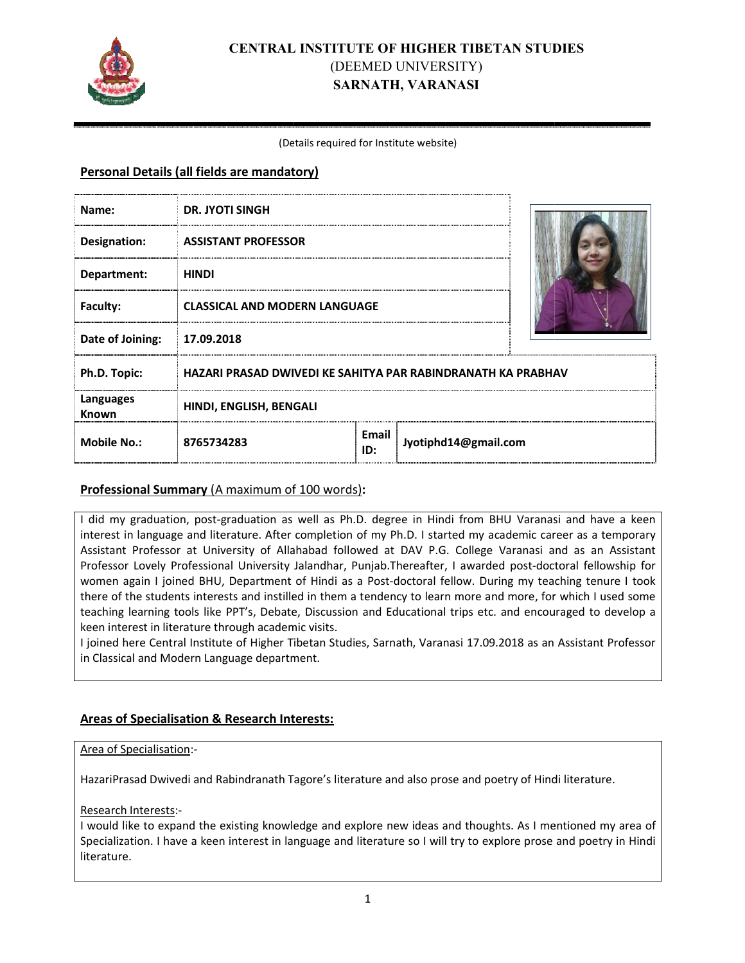

# **CENTRAL INSTITUTE OF HIGHER TIBETAN STUDIES** (DEEMED UNIVERSITY) **SARNATH, VARANASI**

#### (Det Details required for Institute website)

#### **Personal Details (all fields are mandatory)**

| Name:              | <b>DR. JYOTI SINGH</b>                                       |              |                      |  |
|--------------------|--------------------------------------------------------------|--------------|----------------------|--|
| Designation:       | <b>ASSISTANT PROFESSOR</b>                                   |              |                      |  |
| Department:        | <b>HINDI</b>                                                 |              |                      |  |
| Faculty:           | <b>CLASSICAL AND MODERN LANGUAGE</b>                         |              |                      |  |
| Date of Joining:   | 17.09.2018                                                   |              |                      |  |
| Ph.D. Topic:       | HAZARI PRASAD DWIVEDI KE SAHITYA PAR RABINDRANATH KA PRABHAV |              |                      |  |
| Languages<br>Known | HINDI, ENGLISH, BENGALI                                      |              |                      |  |
| <b>Mobile No.:</b> | 8765734283                                                   | Email<br>ID: | Jyotiphd14@gmail.com |  |

#### **Professional Summary** (A maximum of 100 words):

I did my graduation, post-graduation as well as Ph.D. degree in Hindi from BHU Varanasi and have a keen interest in language and literature. After completion of my Ph.D. I started my academic career as a temporary Assistant Professor at University of Allahabad followed at DAV P.G. College Varanasi and as an Assistant Professor Lovely Professional University Jalandhar, Punjab.Thereafter, I awarded post-doctoral fellowship for women again I joined BHU, Department of Hindi as a Post-doctoral fellow. During my teaching tenure I took there of the students interests and instilled in them a tendency to learn more and more, for which I used some teaching learning tools like PPT's, Debate, Discussion and Educational trips etc. and encouraged to develop a keen interest in literature through academic visits.

I joined here Central Institute of Higher Tibetan Studies, Sarnath, Varanasi 17.09.2018 as an Assistant Professor in Classical and Modern Language department.

# **Areas of Specialisation & Research Interests:**

#### Area of Specialisation:-

HazariPrasad Dwivedi and Rabindranath Tagore's literature and also prose and poetry of Hindi literature.

Research Interests:-

I would like to expand the existing knowledge and explore new ideas and thoughts. As I mentioned my area of Specialization. I have a keen interest in language and literature so I will try to explore prose and poetry in Hindi literature.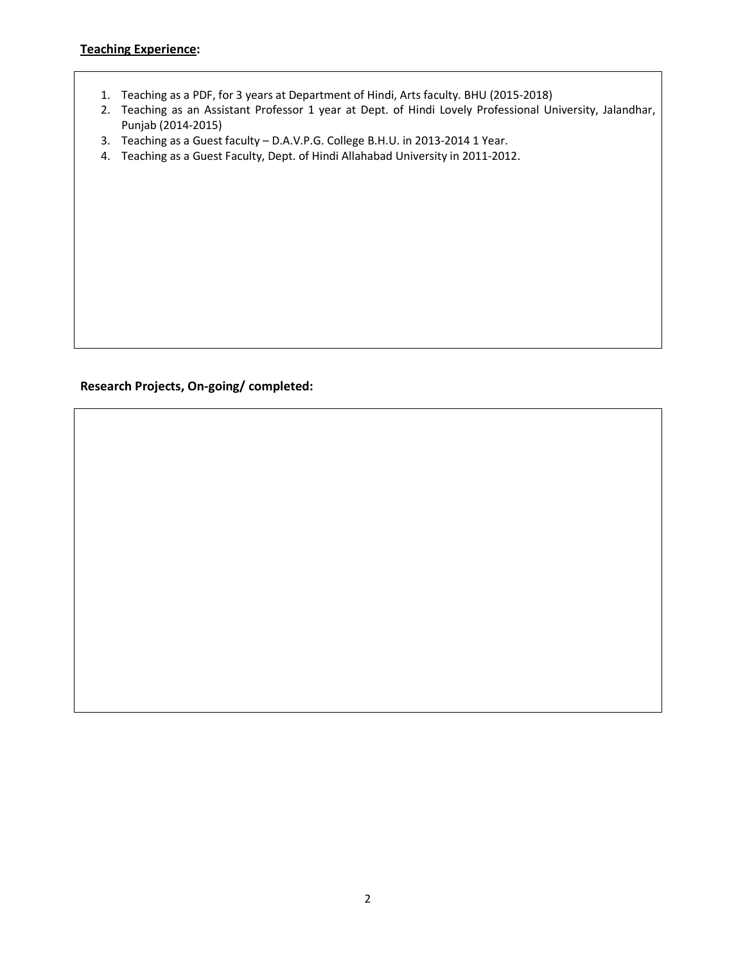# **Teaching Experience:**

- 1. Teaching as a PDF, for 3 years at Department of Hindi, Arts faculty. BHU (2015-2018)
- 2. Teaching as an Assistant Professor 1 year at Dept. of Hindi Lovely Professional University, Jalandhar, Punjab (2014-2015)
- 3. Teaching as a Guest faculty D.A.V.P.G. College B.H.U. in 2013-2014 1 Year.
- 4. Teaching as a Guest Faculty, Dept. of Hindi Allahabad University in 2011-2012.

### **Research Projects, On-going/ completed:**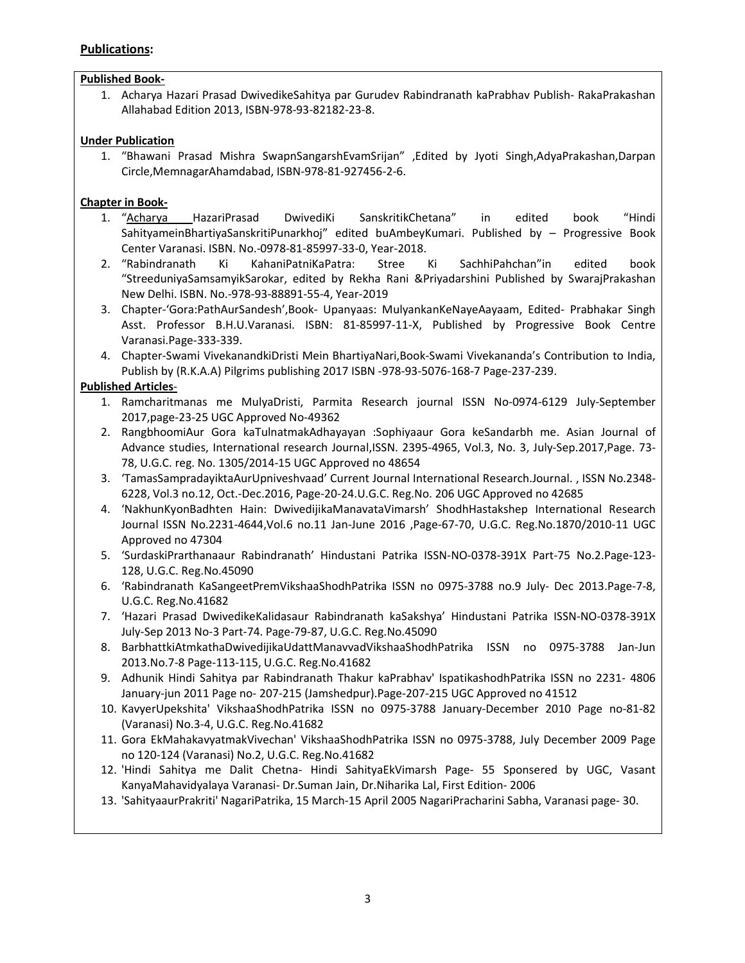# **Publications:**

#### **Published Book-**

1. Acharya Hazari Prasad DwivedikeSahitya par Gurudev Rabindranath kaPrabhav Publish- RakaPrakashan Allahabad Edition 2013, ISBN-978-93-82182-23-8.

#### **Under Publication**

1. "Bhawani Prasad Mishra SwapnSangarshEvamSrijan" ,Edited by Jyoti Singh,AdyaPrakashan,Darpan Circle,MemnagarAhamdabad, ISBN-978-81-927456-2-6.

### **Chapter in Book-**

- 1. "Acharya HazariPrasad DwivediKi SanskritikChetana" in edited book "Hindi SahityameinBhartiyaSanskritiPunarkhoj" edited buAmbeyKumari. Published by – Progressive Book Center Varanasi. ISBN. No.-0978-81-85997-33-0, Year-2018.
- 2. "Rabindranath Ki KahaniPatniKaPatra: Stree Ki SachhiPahchan"in edited book "StreeduniyaSamsamyikSarokar, edited by Rekha Rani &Priyadarshini Published by SwarajPrakashan New Delhi. ISBN. No.-978-93-88891-55-4, Year-2019
- 3. Chapter-'Gora:PathAurSandesh',Book- Upanyaas: MulyankanKeNayeAayaam, Edited- Prabhakar Singh Asst. Professor B.H.U.Varanasi. ISBN: 81-85997-11-X, Published by Progressive Book Centre Varanasi.Page-333-339.
- 4. Chapter-Swami VivekanandkiDristi Mein BhartiyaNari,Book-Swami Vivekananda's Contribution to India, Publish by (R.K.A.A) Pilgrims publishing 2017 ISBN -978-93-5076-168-7 Page-237-239.

#### **Published Articles**-

- 1. Ramcharitmanas me MulyaDristi, Parmita Research journal ISSN No-0974-6129 July-September 2017,page-23-25 UGC Approved No-49362
- 2. RangbhoomiAur Gora kaTulnatmakAdhayayan :Sophiyaaur Gora keSandarbh me. Asian Journal of Advance studies, International research Journal, ISSN. 2395-4965, Vol.3, No. 3, July-Sep.2017, Page. 73-78, U.G.C. reg. No. 1305/2014-15 UGC Approved no 48654
- 3. 'TamasSampradayiktaAurUpniveshvaad' Current Journal International Research.Journal. , ISSN No.2348- 6228, Vol.3 no.12, Oct.-Dec.2016, Page-20-24.U.G.C. Reg.No. 206 UGC Approved no 42685
- 4. 'NakhunKyonBadhten Hain: DwivedijikaManavataVimarsh' ShodhHastakshep International Research Journal ISSN No.2231-4644,Vol.6 no.11 Jan-June 2016 ,Page-67-70, U.G.C. Reg.No.1870/2010-11 UGC Approved no 47304
- 5. 'SurdaskiPrarthanaaur Rabindranath' Hindustani Patrika ISSN-NO-0378-391X Part-75 No.2.Page-123- 128, U.G.C. Reg.No.45090
- 6. 'Rabindranath KaSangeetPremVikshaaShodhPatrika ISSN no 0975-3788 no.9 July- Dec 2013.Page-7-8, U.G.C. Reg.No.41682
- 7. 'Hazari Prasad DwivedikeKalidasaur Rabindranath kaSakshya' Hindustani Patrika ISSN-NO-0378-391X July-Sep 2013 No-3 Part-74. Page-79-87, U.G.C. Reg.No.45090
- 8. BarbhattkiAtmkathaDwivedijikaUdattManavvadVikshaaShodhPatrika ISSN no 0975-3788 Jan-Jun 2013.No.7-8 Page-113-115, U.G.C. Reg.No.41682
- 9. Adhunik Hindi Sahitya par Rabindranath Thakur kaPrabhav' IspatikashodhPatrika ISSN no 2231- 4806 January-jun 2011 Page no- 207-215 (Jamshedpur).Page-207-215 UGC Approved no 41512
- 10. KavyerUpekshita' VikshaaShodhPatrika ISSN no 0975-3788 January-December 2010 Page no-81-82 (Varanasi) No.3-4, U.G.C. Reg.No.41682
- 11. Gora EkMahakavyatmakVivechan' VikshaaShodhPatrika ISSN no 0975-3788, July December 2009 Page no 120-124 (Varanasi) No.2, U.G.C. Reg.No.41682
- 12. 'Hindi Sahitya me Dalit Chetna- Hindi SahityaEkVimarsh Page- 55 Sponsered by UGC, Vasant KanyaMahavidyalaya Varanasi- Dr.Suman Jain, Dr.Niharika Lal, First Edition- 2006
- 13. 'SahityaaurPrakriti' NagariPatrika, 15 March-15 April 2005 NagariPracharini Sabha, Varanasi page- 30.